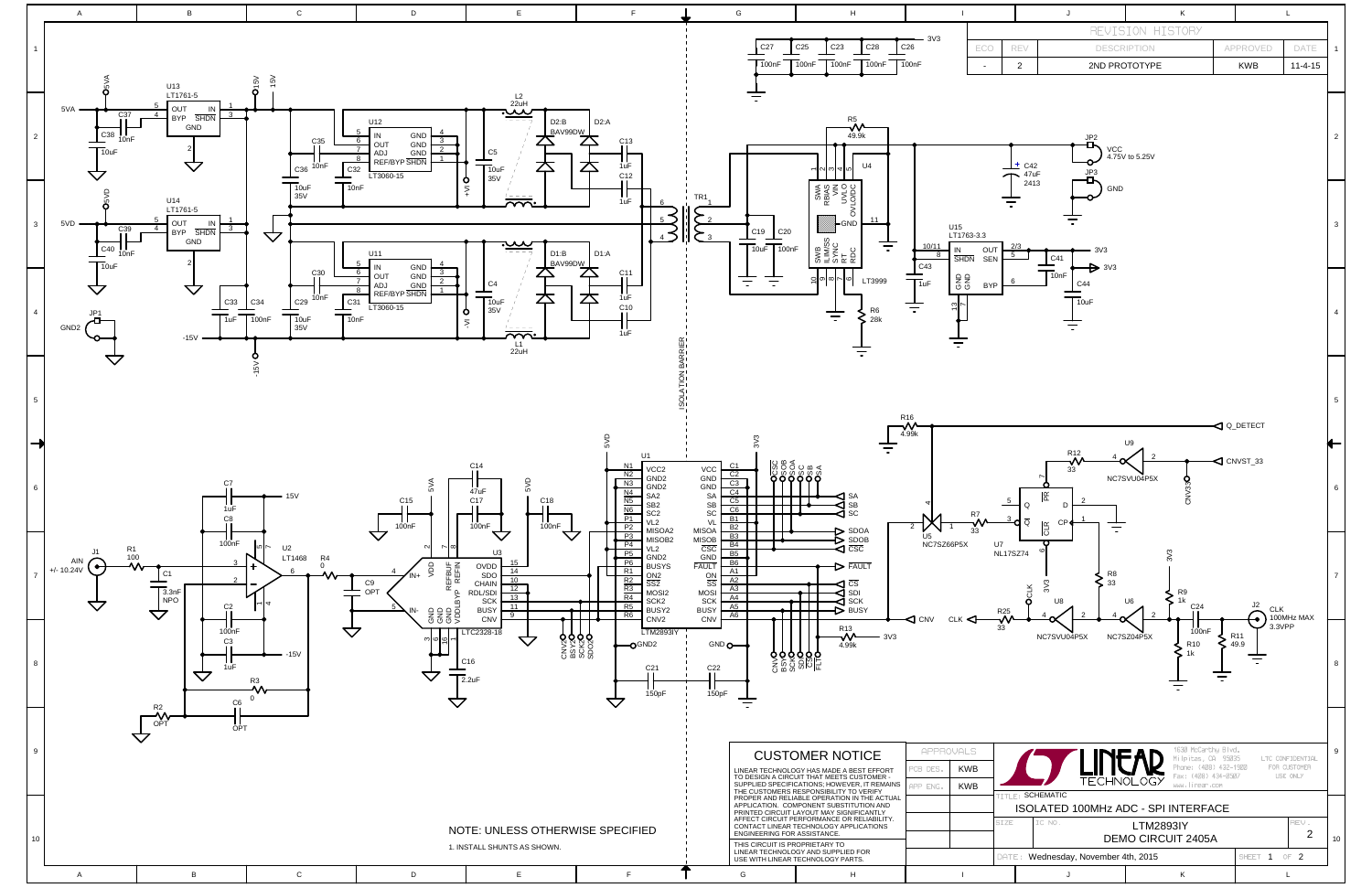

|                                                                                                                                                                                                                                                                                                                                                                                                                                           |                                                                                                                                         |                  | J                                               | κ                                            |                         | L             |                |
|-------------------------------------------------------------------------------------------------------------------------------------------------------------------------------------------------------------------------------------------------------------------------------------------------------------------------------------------------------------------------------------------------------------------------------------------|-----------------------------------------------------------------------------------------------------------------------------------------|------------------|-------------------------------------------------|----------------------------------------------|-------------------------|---------------|----------------|
|                                                                                                                                                                                                                                                                                                                                                                                                                                           |                                                                                                                                         | REVISION HISTORY |                                                 |                                              |                         |               |                |
|                                                                                                                                                                                                                                                                                                                                                                                                                                           | ECO                                                                                                                                     | REV              |                                                 | <b>DESCRIPTION</b>                           | APPROVED                | DATE          | $\mathbf{1}$   |
|                                                                                                                                                                                                                                                                                                                                                                                                                                           | $\overline{\phantom{a}}$                                                                                                                | $\overline{c}$   | 2ND PROTOTYPE                                   |                                              | <b>KWB</b>              | $11 - 4 - 15$ |                |
|                                                                                                                                                                                                                                                                                                                                                                                                                                           |                                                                                                                                         | $±$ C42<br>47uF  | JP <sub>2</sub><br><b>VCC</b><br>$\mathbf{F}^3$ | 4.75V to 5.25V                               |                         |               | $\overline{2}$ |
|                                                                                                                                                                                                                                                                                                                                                                                                                                           | 2413<br>GND<br>763-3.3<br>2/3<br>OUT<br>3V3<br>5<br>C41<br><b>SEN</b><br>idn                                                            |                  |                                                 |                                              |                         |               |                |
| $\triangleright$ 3V3<br>$\overline{1}$ OnF<br><b>GNG</b><br>6<br>C44<br><b>BYP</b><br>10uF                                                                                                                                                                                                                                                                                                                                                |                                                                                                                                         |                  |                                                 |                                              |                         | 4             |                |
|                                                                                                                                                                                                                                                                                                                                                                                                                                           |                                                                                                                                         |                  |                                                 | U9                                           | Q Q_DETECT              |               | 5              |
| R <sub>12</sub><br>$\overline{2}$<br>4<br>$\triangleleft$ CNVST_33<br>33<br>NC7SVU04P5X<br>CNV33O<br>$ \tilde{E} $<br>$\overline{5}$<br>2<br>$\sf Q$<br>D<br>R7<br>3<br>1<br>$\overline{\mathsf{Q}}$<br>CP<br><b>CLR</b><br>33<br>U7<br>Χ<br>G<br>3V3<br><b>NL17SZ74</b><br>R <sub>8</sub><br>3V3<br>33<br><b>OCLK</b><br>R <sub>9</sub><br>$1k$<br>U6<br>U8<br>C <sub>24</sub><br>J2<br><b>CLK</b><br>R <sub>25</sub><br>100MHz MAX<br>v |                                                                                                                                         |                  |                                                 |                                              |                         |               | 6              |
|                                                                                                                                                                                                                                                                                                                                                                                                                                           |                                                                                                                                         |                  |                                                 |                                              |                         |               | 7              |
|                                                                                                                                                                                                                                                                                                                                                                                                                                           |                                                                                                                                         | 33               | NC7SVU04P5X                                     | 100nF<br>NC7SZ04P5X<br>R <sub>10</sub><br>1k | R <sub>11</sub><br>49.9 | 3.3VPP        | 8              |
| 1630 McCarthy Blvd.<br><b>ILS</b><br>Milpitas, CA 95035<br>LTC CONFIDENTIAL<br>Phone: (408) 432-1900<br>FOR CUSTOMER<br>WB.<br>Fax: (408) 434-0507<br>USE ONLY<br><b>TECHNOLOG</b><br>www.linear.com<br>WB.                                                                                                                                                                                                                               |                                                                                                                                         |                  |                                                 |                                              |                         |               | 9              |
|                                                                                                                                                                                                                                                                                                                                                                                                                                           | TITLE: SCHEMATIC<br>ISOLATED 100MHz ADC - SPI INTERFACE<br>IC NO.<br>SIZE<br>REV.<br><b>LTM2893IY</b><br>2<br><b>DEMO CIRCUIT 2405A</b> |                  |                                                 |                                              |                         |               | 10             |
|                                                                                                                                                                                                                                                                                                                                                                                                                                           | Wednesday, November 4th, 2015<br>SHEET 1<br>OF2<br>DATE:                                                                                |                  |                                                 |                                              |                         |               |                |
| J<br>Κ<br>L                                                                                                                                                                                                                                                                                                                                                                                                                               |                                                                                                                                         |                  |                                                 |                                              |                         |               |                |